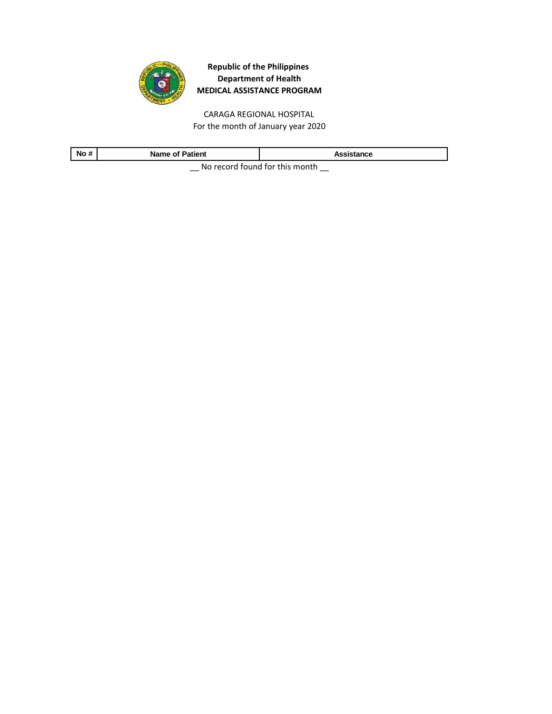

CARAGA REGIONAL HOSPITAL For the month of January year 2020

| No#                                    | <b>Name of Patient</b> | Assistance |
|----------------------------------------|------------------------|------------|
| Ale as south formed fourth-to-assembly |                        |            |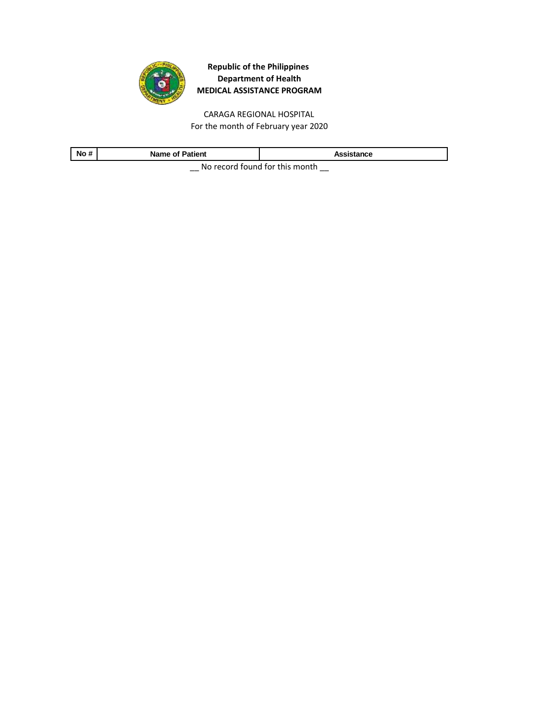

CARAGA REGIONAL HOSPITAL For the month of February year 2020

| No#                                         | <b>Name of Patient</b> | Assistance |
|---------------------------------------------|------------------------|------------|
| Alle a consideration of fourth to an outlet |                        |            |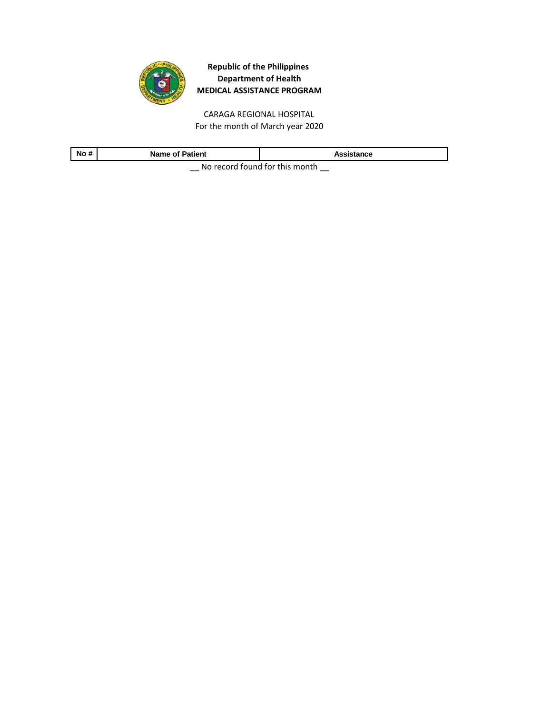

CARAGA REGIONAL HOSPITAL For the month of March year 2020

| No                                     | <b>Name of Patient</b> | Assistance |
|----------------------------------------|------------------------|------------|
| No received factoral faithful property |                        |            |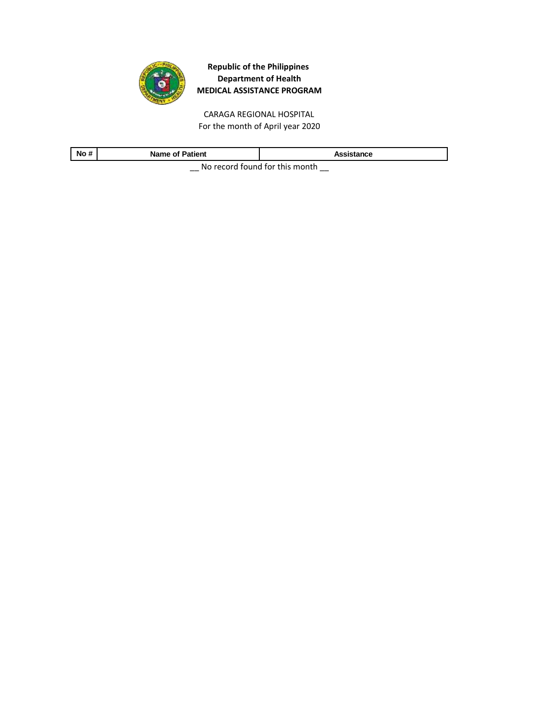

CARAGA REGIONAL HOSPITAL For the month of April year 2020

| No#                                     | <b>Name of Patient</b> | Assistance |
|-----------------------------------------|------------------------|------------|
| No reserved formed for this reservation |                        |            |

 $\equiv$  No record found for this month  $\equiv$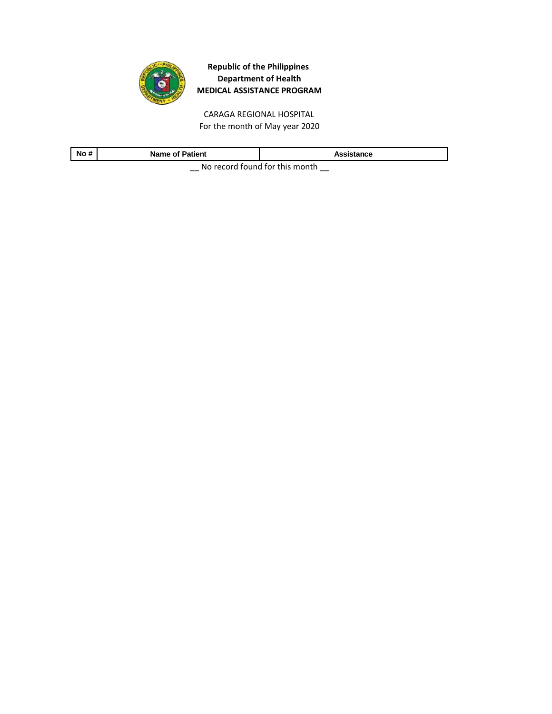

CARAGA REGIONAL HOSPITAL For the month of May year 2020

| No#                                    | <b>Name of Patient</b> | Assistance |
|----------------------------------------|------------------------|------------|
| No received factoral faithful property |                        |            |

 $\equiv$  No record found for this month  $\equiv$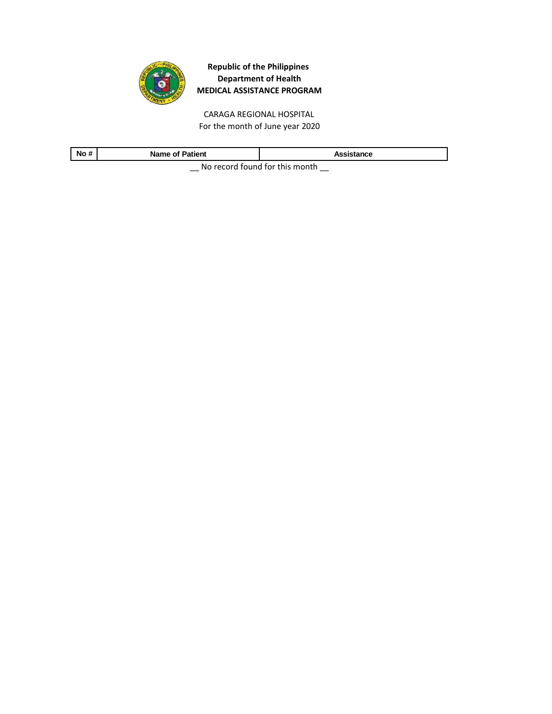

CARAGA REGIONAL HOSPITAL For the month of June year 2020

| No#<br>æ                               | Patient<br>Name of |  |
|----------------------------------------|--------------------|--|
| No received factoral faithful property |                    |  |

 $\equiv$  No record found for this month  $\equiv$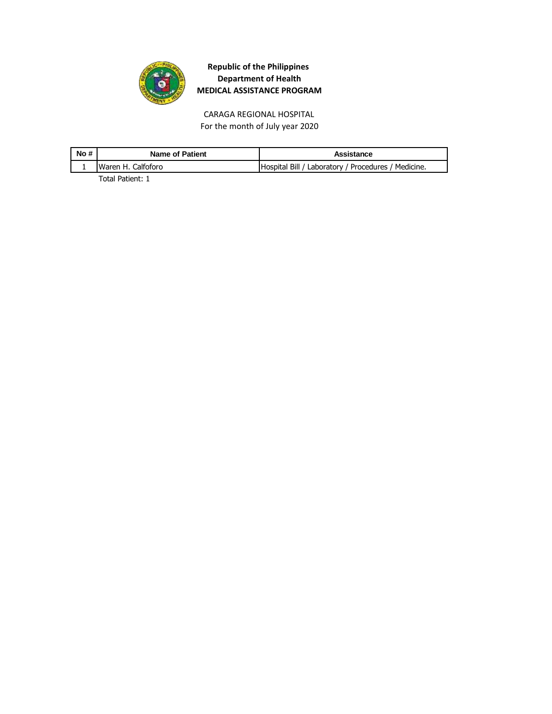

CARAGA REGIONAL HOSPITAL For the month of July year 2020

| No # | <b>Name of Patient</b> | Assistance                                          |
|------|------------------------|-----------------------------------------------------|
|      | Waren H. Calfoforo     | Hospital Bill / Laboratory / Procedures / Medicine. |
|      | _                      |                                                     |

Total Patient: 1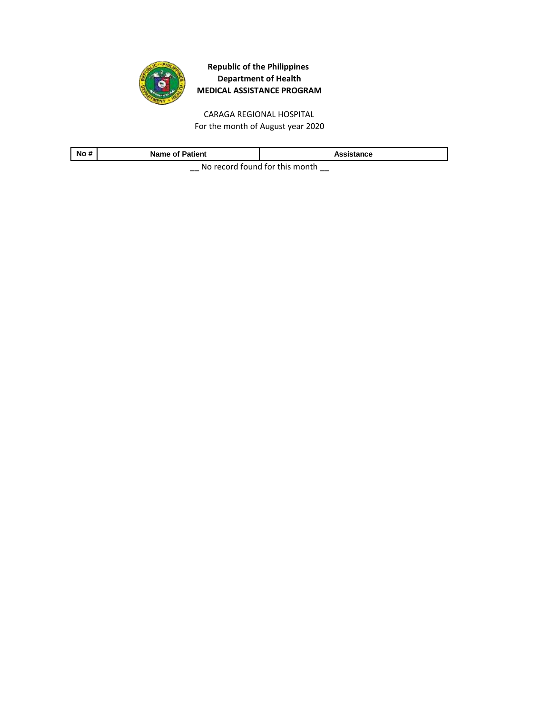

CARAGA REGIONAL HOSPITAL For the month of August year 2020

| No#                                       | Patient<br>Name of | ance. |
|-------------------------------------------|--------------------|-------|
| Ale see and ferror different big recently |                    |       |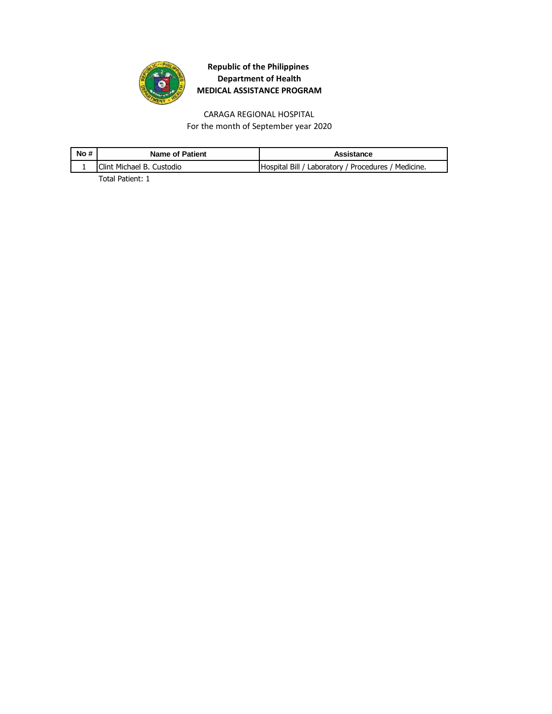

CARAGA REGIONAL HOSPITAL For the month of September year 2020

| No# | <b>Name of Patient</b>            | Assistance                                          |
|-----|-----------------------------------|-----------------------------------------------------|
|     | <b>IClint Michael B. Custodio</b> | Hospital Bill / Laboratory / Procedures / Medicine. |
|     | _ _                               |                                                     |

Total Patient: 1